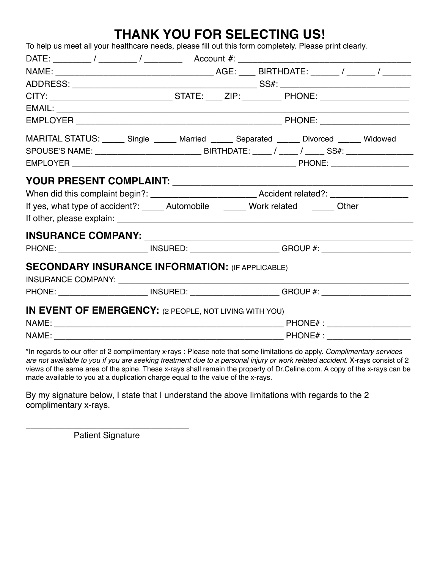# **THANK YOU FOR SELECTING US!**

| To help us meet all your healthcare needs, please fill out this form completely. Please print clearly.                                                                                                                               |  |  |
|--------------------------------------------------------------------------------------------------------------------------------------------------------------------------------------------------------------------------------------|--|--|
|                                                                                                                                                                                                                                      |  |  |
|                                                                                                                                                                                                                                      |  |  |
|                                                                                                                                                                                                                                      |  |  |
| CITY: __________________________________STATE: _____ ZIP: ___________ PHONE: ______________________                                                                                                                                  |  |  |
|                                                                                                                                                                                                                                      |  |  |
|                                                                                                                                                                                                                                      |  |  |
| MARITAL STATUS: ______ Single ______ Married ______ Separated ______ Divorced _____ Widowed                                                                                                                                          |  |  |
|                                                                                                                                                                                                                                      |  |  |
|                                                                                                                                                                                                                                      |  |  |
| <b>YOUR PRESENT COMPLAINT: \\efficient \\efficient \\efficient \\efficient \\efficient \\efficient \\efficient \\efficient \\efficient \\efficient \\efficient \\efficient \\efficient \\efficient \\efficient \\efficient \\eff</b> |  |  |
| When did this complaint begin?: _________________________________Accident related?: ______________________                                                                                                                           |  |  |
| If yes, what type of accident?: ______ Automobile _______ Work related ______ Other                                                                                                                                                  |  |  |
|                                                                                                                                                                                                                                      |  |  |
|                                                                                                                                                                                                                                      |  |  |
| PHONE: ____________________________ INSURED: _______________________GROUP #: _______________________                                                                                                                                 |  |  |
|                                                                                                                                                                                                                                      |  |  |
| <b>SECONDARY INSURANCE INFORMATION: (IF APPLICABLE)</b>                                                                                                                                                                              |  |  |
|                                                                                                                                                                                                                                      |  |  |
| PHONE: ___________________________ INSURED: ________________________GROUP #: _______________________                                                                                                                                 |  |  |
| IN EVENT OF EMERGENCY: (2 PEOPLE, NOT LIVING WITH YOU)                                                                                                                                                                               |  |  |
|                                                                                                                                                                                                                                      |  |  |
|                                                                                                                                                                                                                                      |  |  |

\*In regards to our offer of 2 complimentary x·rays : Please note that some limitations do apply. *Complimentary services are not available to you if you are seeking treatment due to a personal injury or work related accident.* X-rays consist of 2 views of the same area of the spine. These x-rays shall remain the property of Dr.Celine.com. A copy of the x-rays can be made available to you at a duplication charge equal to the value of the x-rays.

By my signature below, I state that I understand the above limitations with regards to the 2 complimentary x-rays.

\_\_\_\_\_\_\_\_\_\_\_\_\_\_\_\_\_\_\_\_\_\_\_\_\_\_\_\_\_\_\_\_\_\_ Patient Signature